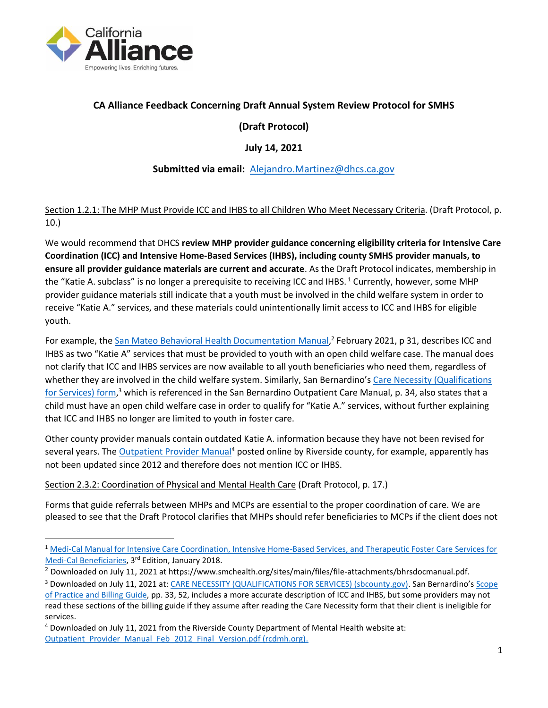

## **CA Alliance Feedback Concerning Draft Annual System Review Protocol for SMHS**

# **(Draft Protocol)**

## **July 14, 2021**

## **Submitted via email:** [Alejandro.Martinez@dhcs.ca.gov](mailto:Alejandro.Martinez@dhcs.ca.gov)

#### Section 1.2.1: The MHP Must Provide ICC and IHBS to all Children Who Meet Necessary Criteria. (Draft Protocol, p. 10.)

We would recommend that DHCS **review MHP provider guidance concerning eligibility criteria for Intensive Care Coordination (ICC) and Intensive Home-Based Services (IHBS), including county SMHS provider manuals, to ensure all provider guidance materials are current and accurate**. As the Draft Protocol indicates, membership in the "Katie A. subclass" is no longer a prerequisite to receiving ICC and IHBS.<sup>1</sup> Currently, however, some MHP provider guidance materials still indicate that a youth must be involved in the child welfare system in order to receive "Katie A." services, and these materials could unintentionally limit access to ICC and IHBS for eligible youth.

For example, the [San Mateo Behavioral Health Documentation Manual,](https://www.smchealth.org/sites/main/files/file-attachments/bhrsdocmanual.pdf?1572639320)<sup>2</sup> February 2021, p 31, describes ICC and IHBS as two "Katie A" services that must be provided to youth with an open child welfare case. The manual does not clarify that ICC and IHBS services are now available to all youth beneficiaries who need them, regardless of whether they are involved in the child welfare system. Similarly, San Bernardino's Care Necessity (Qualifications [for Services\) form,](https://wp.sbcounty.gov/dbh/wp-content/uploads/2016/08/CLP019.pdf)<sup>3</sup> which is referenced in the San Bernardino Outpatient Care Manual, p. 34, also states that a child must have an open child welfare case in order to qualify for "Katie A." services, without further explaining that ICC and IHBS no longer are limited to youth in foster care.

Other county provider manuals contain outdated Katie A. information because they have not been revised for several years. The [Outpatient Provider Manual](https://www.rcdmh.org/Portals/0/PDF/outpatient/Outpatient_Provider_Manual_Feb_2012_Final_Version.pdf)<sup>4</sup> posted online by Riverside county, for example, apparently has not been updated since 2012 and therefore does not mention ICC or IHBS.

#### Section 2.3.2: Coordination of Physical and Mental Health Care (Draft Protocol, p. 17.)

Forms that guide referrals between MHPs and MCPs are essential to the proper coordination of care. We are pleased to see that the Draft Protocol clarifies that MHPs should refer beneficiaries to MCPs if the client does not

<sup>&</sup>lt;sup>1</sup> Medi-Cal Manual for Intensive Care Coordination, Intensive Home-Based Services, and Therapeutic Foster Care Services for [Medi-Cal Beneficiaries,](https://www.rcdmh.org/Portals/0/PDF/outpatient/Outpatient_Provider_Manual_Feb_2012_Final_Version.pdf) 3<sup>rd</sup> Edition, January 2018.

<sup>2</sup> Downloaded on July 11, 2021 at https://www.smchealth.org/sites/main/files/file-attachments/bhrsdocmanual.pdf.

<sup>&</sup>lt;sup>3</sup> Downloaded on July 11, 2021 at[: CARE NECESSITY \(QUALIFICATIONS FOR SERVICES\) \(sbcounty.gov\)](https://wp.sbcounty.gov/dbh/wp-content/uploads/2016/08/CLP019.pdf). San Bernardino's Scope [of Practice and Billing Guide,](https://wp.sbcounty.gov/dbh/wp-content/uploads/2016/07/Scope_Practice_Billing_Guide.pdf) pp. 33, 52, includes a more accurate description of ICC and IHBS, but some providers may not read these sections of the billing guide if they assume after reading the Care Necessity form that their client is ineligible for services.

<sup>4</sup> Downloaded on July 11, 2021 from the Riverside County Department of Mental Health website at: Outpatient Provider Manual Feb 2012 Final Version.pdf (rcdmh.org).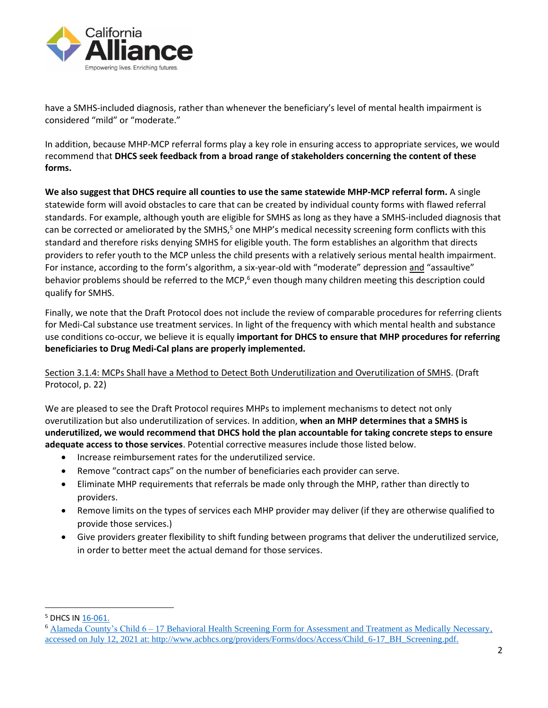

have a SMHS-included diagnosis, rather than whenever the beneficiary's level of mental health impairment is considered "mild" or "moderate."

In addition, because MHP-MCP referral forms play a key role in ensuring access to appropriate services, we would recommend that **DHCS seek feedback from a broad range of stakeholders concerning the content of these forms.**

**We also suggest that DHCS require all counties to use the same statewide MHP-MCP referral form.** A single statewide form will avoid obstacles to care that can be created by individual county forms with flawed referral standards. For example, although youth are eligible for SMHS as long as they have a SMHS-included diagnosis that can be corrected or ameliorated by the SMHS,<sup>5</sup> one MHP's medical necessity screening form conflicts with this standard and therefore risks denying SMHS for eligible youth. The form establishes an algorithm that directs providers to refer youth to the MCP unless the child presents with a relatively serious mental health impairment. For instance, according to the form's algorithm, a six-year-old with "moderate" depression and "assaultive" behavior problems should be referred to the MCP,<sup>6</sup> even though many children meeting this description could qualify for SMHS.

Finally, we note that the Draft Protocol does not include the review of comparable procedures for referring clients for Medi-Cal substance use treatment services. In light of the frequency with which mental health and substance use conditions co-occur, we believe it is equally **important for DHCS to ensure that MHP procedures for referring beneficiaries to Drug Medi-Cal plans are properly implemented.**

Section 3.1.4: MCPs Shall have a Method to Detect Both Underutilization and Overutilization of SMHS. (Draft Protocol, p. 22)

We are pleased to see the Draft Protocol requires MHPs to implement mechanisms to detect not only overutilization but also underutilization of services. In addition, **when an MHP determines that a SMHS is underutilized, we would recommend that DHCS hold the plan accountable for taking concrete steps to ensure adequate access to those services**. Potential corrective measures include those listed below.

- Increase reimbursement rates for the underutilized service.
- Remove "contract caps" on the number of beneficiaries each provider can serve.
- Eliminate MHP requirements that referrals be made only through the MHP, rather than directly to providers.
- Remove limits on the types of services each MHP provider may deliver (if they are otherwise qualified to provide those services.)
- Give providers greater flexibility to shift funding between programs that deliver the underutilized service, in order to better meet the actual demand for those services.

<sup>5</sup> DHCS IN [16-061.](https://www.dhcs.ca.gov/formsandpubs/Documents/MHSUDS%20Information%20Notices/MHSUDS_16-061.pdf)

<sup>6</sup> Alameda County's Child 6 – [17 Behavioral Health Screening Form for Assessment and Treatment as Medically Necessary,](http://www.acbhcs.org/providers/Forms/docs/Access/Child_6-17_BH_Screening.pdf) accessed on July 12, 2021 at: http://www.acbhcs.org/providers/Forms/docs/Access/Child\_6-17\_BH\_Screening.pdf.